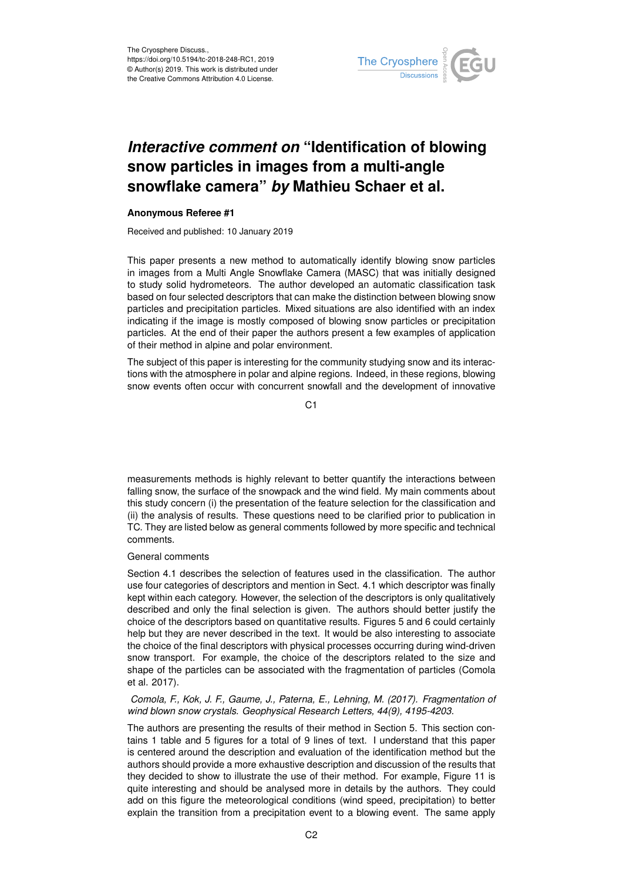

## *Interactive comment on* **"Identification of blowing snow particles in images from a multi-angle snowflake camera"** *by* **Mathieu Schaer et al.**

## **Anonymous Referee #1**

Received and published: 10 January 2019

This paper presents a new method to automatically identify blowing snow particles in images from a Multi Angle Snowflake Camera (MASC) that was initially designed to study solid hydrometeors. The author developed an automatic classification task based on four selected descriptors that can make the distinction between blowing snow particles and precipitation particles. Mixed situations are also identified with an index indicating if the image is mostly composed of blowing snow particles or precipitation particles. At the end of their paper the authors present a few examples of application of their method in alpine and polar environment.

The subject of this paper is interesting for the community studying snow and its interactions with the atmosphere in polar and alpine regions. Indeed, in these regions, blowing snow events often occur with concurrent snowfall and the development of innovative

C<sub>1</sub>

measurements methods is highly relevant to better quantify the interactions between falling snow, the surface of the snowpack and the wind field. My main comments about this study concern (i) the presentation of the feature selection for the classification and (ii) the analysis of results. These questions need to be clarified prior to publication in TC. They are listed below as general comments followed by more specific and technical comments.

## General comments

Section 4.1 describes the selection of features used in the classification. The author use four categories of descriptors and mention in Sect. 4.1 which descriptor was finally kept within each category. However, the selection of the descriptors is only qualitatively described and only the final selection is given. The authors should better justify the choice of the descriptors based on quantitative results. Figures 5 and 6 could certainly help but they are never described in the text. It would be also interesting to associate the choice of the final descriptors with physical processes occurring during wind-driven snow transport. For example, the choice of the descriptors related to the size and shape of the particles can be associated with the fragmentation of particles (Comola et al. 2017).

## *Comola, F., Kok, J. F., Gaume, J., Paterna, E., Lehning, M. (2017). Fragmentation of wind blown snow crystals. Geophysical Research Letters, 44(9), 4195-4203.*

The authors are presenting the results of their method in Section 5. This section contains 1 table and 5 figures for a total of 9 lines of text. I understand that this paper is centered around the description and evaluation of the identification method but the authors should provide a more exhaustive description and discussion of the results that they decided to show to illustrate the use of their method. For example, Figure 11 is quite interesting and should be analysed more in details by the authors. They could add on this figure the meteorological conditions (wind speed, precipitation) to better explain the transition from a precipitation event to a blowing event. The same apply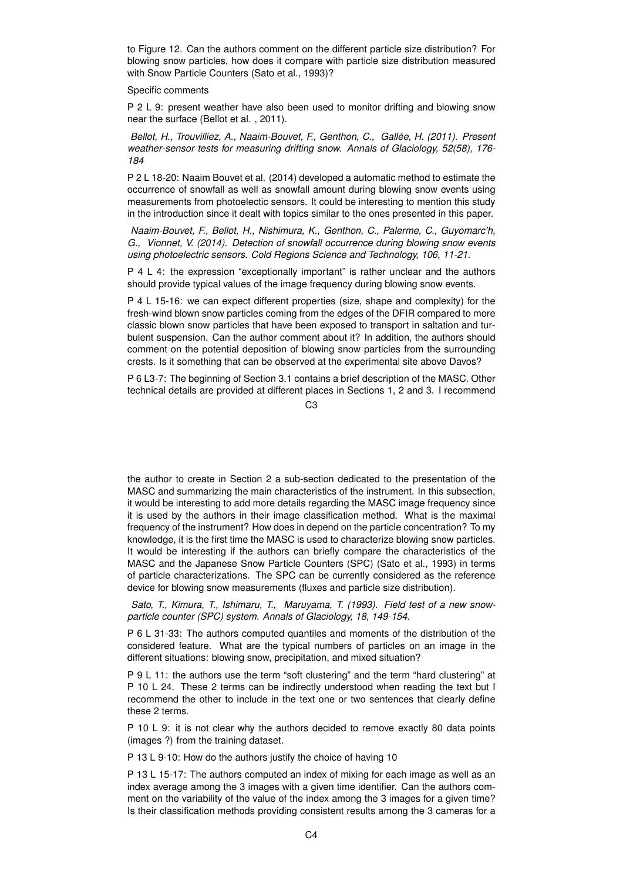to Figure 12. Can the authors comment on the different particle size distribution? For blowing snow particles, how does it compare with particle size distribution measured with Snow Particle Counters (Sato et al., 1993)?

Specific comments

P 2 L 9: present weather have also been used to monitor drifting and blowing snow near the surface (Bellot et al. , 2011).

*Bellot, H., Trouvilliez, A., Naaim-Bouvet, F., Genthon, C., Gallée, H. (2011). Present weather-sensor tests for measuring drifting snow. Annals of Glaciology, 52(58), 176- 184*

P 2 L 18-20: Naaim Bouvet et al. (2014) developed a automatic method to estimate the occurrence of snowfall as well as snowfall amount during blowing snow events using measurements from photoelectic sensors. It could be interesting to mention this study in the introduction since it dealt with topics similar to the ones presented in this paper.

*Naaim-Bouvet, F., Bellot, H., Nishimura, K., Genthon, C., Palerme, C., Guyomarc'h, G., Vionnet, V. (2014). Detection of snowfall occurrence during blowing snow events using photoelectric sensors. Cold Regions Science and Technology, 106, 11-21.*

P 4 L 4: the expression "exceptionally important" is rather unclear and the authors should provide typical values of the image frequency during blowing snow events.

P 4 L 15-16: we can expect different properties (size, shape and complexity) for the fresh-wind blown snow particles coming from the edges of the DFIR compared to more classic blown snow particles that have been exposed to transport in saltation and turbulent suspension. Can the author comment about it? In addition, the authors should comment on the potential deposition of blowing snow particles from the surrounding crests. Is it something that can be observed at the experimental site above Davos?

P 6 L3-7: The beginning of Section 3.1 contains a brief description of the MASC. Other technical details are provided at different places in Sections 1, 2 and 3. I recommend

 $C<sub>3</sub>$ 

the author to create in Section 2 a sub-section dedicated to the presentation of the MASC and summarizing the main characteristics of the instrument. In this subsection, it would be interesting to add more details regarding the MASC image frequency since it is used by the authors in their image classification method. What is the maximal frequency of the instrument? How does in depend on the particle concentration? To my knowledge, it is the first time the MASC is used to characterize blowing snow particles. It would be interesting if the authors can briefly compare the characteristics of the MASC and the Japanese Snow Particle Counters (SPC) (Sato et al., 1993) in terms of particle characterizations. The SPC can be currently considered as the reference device for blowing snow measurements (fluxes and particle size distribution).

*Sato, T., Kimura, T., Ishimaru, T., Maruyama, T. (1993). Field test of a new snowparticle counter (SPC) system. Annals of Glaciology, 18, 149-154.*

P 6 L 31-33: The authors computed quantiles and moments of the distribution of the considered feature. What are the typical numbers of particles on an image in the different situations: blowing snow, precipitation, and mixed situation?

P 9 L 11: the authors use the term "soft clustering" and the term "hard clustering" at P 10 L 24. These 2 terms can be indirectly understood when reading the text but I recommend the other to include in the text one or two sentences that clearly define these 2 terms.

P 10 L 9: it is not clear why the authors decided to remove exactly 80 data points (images ?) from the training dataset.

P 13 L 9-10: How do the authors justify the choice of having 10

P 13 L 15-17: The authors computed an index of mixing for each image as well as an index average among the 3 images with a given time identifier. Can the authors comment on the variability of the value of the index among the 3 images for a given time? Is their classification methods providing consistent results among the 3 cameras for a